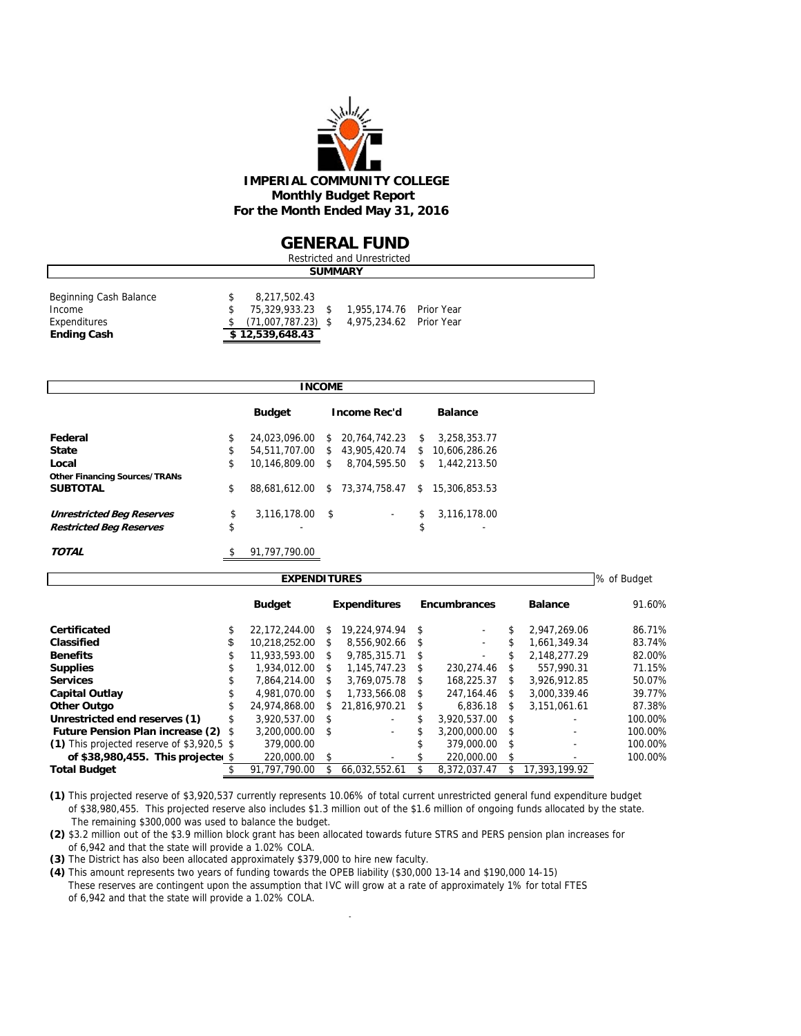

#### **GENERAL FUND**

| Restricted and Unrestricted                                            |  |                                                                             |  |                                                    |  |  |  |  |  |  |
|------------------------------------------------------------------------|--|-----------------------------------------------------------------------------|--|----------------------------------------------------|--|--|--|--|--|--|
| <b>SUMMARY</b>                                                         |  |                                                                             |  |                                                    |  |  |  |  |  |  |
| Beginning Cash Balance<br>Income<br>Expenditures<br><b>Ending Cash</b> |  | 8,217,502.43<br>75,329,933.23 \$<br>$(71,007,787.23)$ \$<br>\$12,539,648.43 |  | 1.955.174.76 Prior Year<br>4,975,234.62 Prior Year |  |  |  |  |  |  |

|                                      | INCOME                 |      |                          |     |                |  |
|--------------------------------------|------------------------|------|--------------------------|-----|----------------|--|
|                                      | <b>Budget</b>          |      | <b>Income Rec'd</b>      |     | <b>Balance</b> |  |
| Federal                              | \$<br>24.023.096.00    | \$   | 20.764.742.23            | \$. | 3,258,353.77   |  |
| <b>State</b>                         | \$<br>54.511.707.00 \$ |      | 43.905.420.74            | S.  | 10.606.286.26  |  |
| Local                                | \$<br>10.146.809.00    | \$   | 8.704.595.50             | \$  | 1,442,213.50   |  |
| <b>Other Financing Sources/TRANs</b> |                        |      |                          |     |                |  |
| <b>SUBTOTAL</b>                      | \$<br>88.681.612.00    | \$   | 73,374,758.47            | \$  | 15,306,853.53  |  |
| <b>Unrestricted Beg Reserves</b>     | \$<br>3,116,178.00     | - \$ | $\overline{\phantom{a}}$ | \$  | 3,116,178.00   |  |
| <b>Restricted Beg Reserves</b>       | \$                     |      |                          | \$  | ۰              |  |
| <b>TOTAL</b>                         | 91.797.790.00          |      |                          |     |                |  |

| <b>EXPENDITURES</b>                        |    |               |                                                              |                          |    |                          |               |                |         |  |  |
|--------------------------------------------|----|---------------|--------------------------------------------------------------|--------------------------|----|--------------------------|---------------|----------------|---------|--|--|
|                                            |    | <b>Budget</b> | <b>Expenditures</b><br><b>Encumbrances</b><br><b>Balance</b> |                          |    |                          |               |                | 91.60%  |  |  |
| Certificated                               |    | 22.172.244.00 | \$.                                                          | 19,224,974.94 \$         |    |                          |               | 2.947.269.06   | 86.71%  |  |  |
| Classified                                 | \$ | 10,218,252.00 | \$                                                           | 8.556.902.66 \$          |    | $\overline{\phantom{a}}$ |               | 1.661.349.34   | 83.74%  |  |  |
| <b>Benefits</b>                            | \$ | 11,933,593.00 | \$                                                           | $9.785.315.71$ \$        |    |                          |               | 2.148.277.29   | 82.00%  |  |  |
| <b>Supplies</b>                            | ъ  | 1.934.012.00  | \$                                                           | 1.145.747.23             | S. | 230.274.46               | S.            | 557.990.31     | 71.15%  |  |  |
| <b>Services</b>                            |    | 7.864.214.00  | S.                                                           | 3.769.075.78 \$          |    | 168.225.37               | \$            | 3.926.912.85   | 50.07%  |  |  |
| <b>Capital Outlay</b>                      |    | 4.981.070.00  | £.                                                           | 1.733.566.08             | £. | 247.164.46               | \$.           | 3.000.339.46   | 39.77%  |  |  |
| <b>Other Outgo</b>                         |    | 24.974.868.00 | S.                                                           | 21.816.970.21            | -S | 6.836.18                 | S             | 3,151,061.61   | 87.38%  |  |  |
| Unrestricted end reserves (1)              |    | 3.920.537.00  | $\mathcal{S}$                                                |                          |    | 3,920,537.00             | $\mathcal{S}$ |                | 100.00% |  |  |
| <b>Future Pension Plan increase (2)</b>    | S  | 3.200.000.00  | - \$                                                         | $\overline{\phantom{a}}$ |    | 3.200.000.00             | - S           |                | 100.00% |  |  |
| (1) This projected reserve of \$3,920.5 \$ |    | 379,000.00    |                                                              |                          |    | 379,000.00               | - \$          | $\overline{a}$ | 100.00% |  |  |
| of \$38,980,455. This projecte $$$         |    | 220,000.00    | -\$                                                          |                          |    | 220,000.00               | $\mathcal{S}$ |                | 100.00% |  |  |
| <b>Total Budget</b>                        |    | 91.797.790.00 |                                                              | 66.032.552.61            |    | 8.372.037.47             |               | 17.393.199.92  |         |  |  |

**(1)** This projected reserve of \$3,920,537 currently represents 10.06% of total current unrestricted general fund expenditure budget of \$38,980,455. This projected reserve also includes \$1.3 million out of the \$1.6 million of ongoing funds allocated by the state. The remaining \$300,000 was used to balance the budget.

**(2)** \$3.2 million out of the \$3.9 million block grant has been allocated towards future STRS and PERS pension plan increases for of 6,942 and that the state will provide a 1.02% COLA.

**(3)** The District has also been allocated approximately \$379,000 to hire new faculty.

**(4)** This amount represents two years of funding towards the OPEB liability (\$30,000 13-14 and \$190,000 14-15) These reserves are contingent upon the assumption that IVC will grow at a rate of approximately 1% for total FTES of 6,942 and that the state will provide a 1.02% COLA.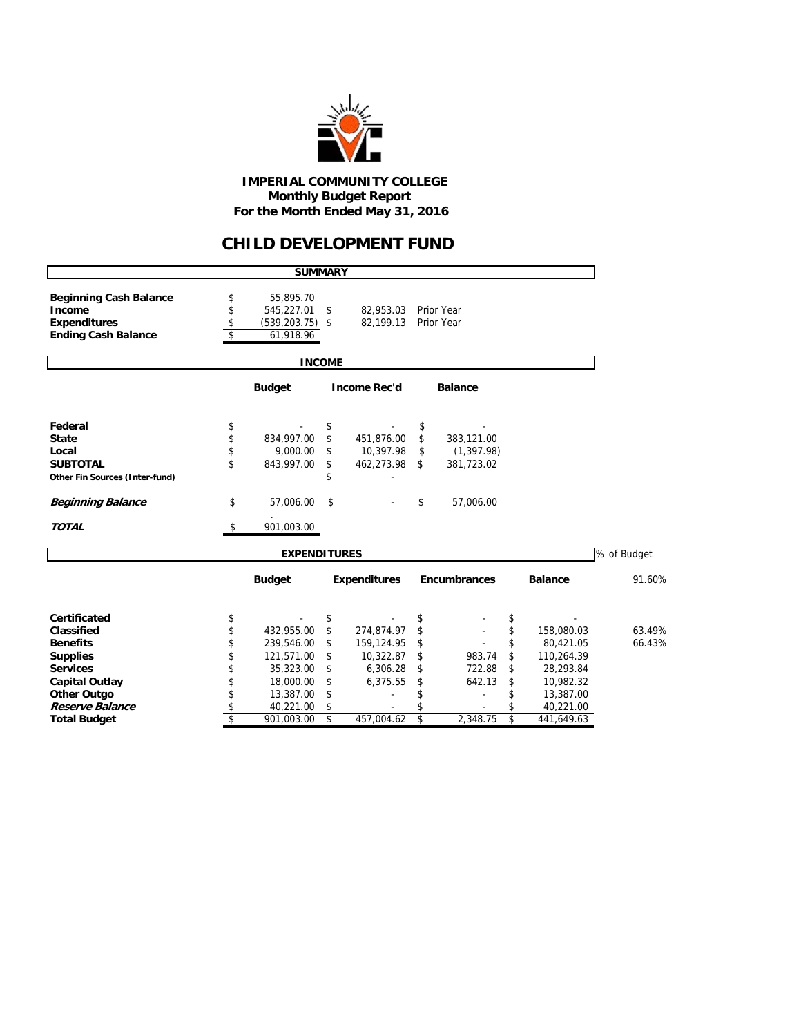

#### **IMPERIAL COMMUNITY COLLEGE Monthly Budget Report For the Month Ended May 31, 2016**

## **CHILD DEVELOPMENT FUND**

|                                                                                              |                      | <b>SUMMARY</b>                                             |               |                        |    |                          |    |                |             |  |  |  |  |
|----------------------------------------------------------------------------------------------|----------------------|------------------------------------------------------------|---------------|------------------------|----|--------------------------|----|----------------|-------------|--|--|--|--|
| <b>Beginning Cash Balance</b><br>Income<br><b>Expenditures</b><br><b>Ending Cash Balance</b> | \$<br>\$<br>\$<br>\$ | 55,895.70<br>545,227.01<br>$(539, 203.75)$ \$<br>61,918.96 | \$            | 82,953.03<br>82,199.13 |    | Prior Year<br>Prior Year |    |                |             |  |  |  |  |
|                                                                                              |                      |                                                            | <b>INCOME</b> |                        |    |                          |    |                |             |  |  |  |  |
| <b>Budget</b><br><b>Income Rec'd</b><br><b>Balance</b>                                       |                      |                                                            |               |                        |    |                          |    |                |             |  |  |  |  |
| Federal                                                                                      | \$                   |                                                            | \$            |                        | \$ |                          |    |                |             |  |  |  |  |
| <b>State</b>                                                                                 | \$                   | 834,997.00                                                 | \$            | 451,876.00             | \$ | 383,121.00               |    |                |             |  |  |  |  |
| Local                                                                                        | \$                   | 9.000.00                                                   | \$            | 10,397.98              | \$ | (1, 397.98)              |    |                |             |  |  |  |  |
| <b>SUBTOTAL</b>                                                                              | \$                   | 843,997.00                                                 | \$            | 462,273.98             | \$ | 381,723.02               |    |                |             |  |  |  |  |
| Other Fin Sources (Inter-fund)                                                               |                      |                                                            |               |                        |    |                          |    |                |             |  |  |  |  |
| <b>Beginning Balance</b>                                                                     | \$                   | 57,006.00                                                  | \$            |                        | \$ | 57,006.00                |    |                |             |  |  |  |  |
| <b>TOTAL</b>                                                                                 | \$                   | 901,003.00                                                 |               |                        |    |                          |    |                |             |  |  |  |  |
|                                                                                              |                      | <b>EXPENDITURES</b>                                        |               |                        |    |                          |    |                | % of Budget |  |  |  |  |
|                                                                                              |                      | <b>Budget</b>                                              |               | <b>Expenditures</b>    |    | Encumbrances             |    | <b>Balance</b> | 91.60%      |  |  |  |  |
| <b>Certificated</b>                                                                          | \$                   |                                                            | \$            |                        | \$ |                          | \$ |                |             |  |  |  |  |
| Classified                                                                                   | \$                   | 432,955.00                                                 | \$            | 274,874.97             | \$ |                          | \$ | 158,080.03     | 63.49%      |  |  |  |  |
| <b>Benefits</b>                                                                              | \$                   | 239,546.00                                                 | \$            | 159,124.95             |    |                          | \$ | 80,421.05      | 66.43%      |  |  |  |  |
| <b>Supplies</b>                                                                              | \$                   | 121,571.00                                                 | \$            | 10,322.87              | \$ | 983.74                   | \$ | 110,264.39     |             |  |  |  |  |
| <b>Services</b>                                                                              | \$                   | 35,323.00                                                  | \$            | 6,306.28               | \$ | 722.88                   | \$ | 28,293.84      |             |  |  |  |  |
| <b>Capital Outlay</b>                                                                        | \$                   | 18,000.00                                                  | \$            | 6,375.55               | \$ | 642.13                   | \$ | 10,982.32      |             |  |  |  |  |
| Other Outgo                                                                                  | \$                   | 13,387.00                                                  | \$            |                        | \$ |                          | \$ | 13,387.00      |             |  |  |  |  |
| Reserve Balance                                                                              | \$                   | 40,221.00                                                  | \$            |                        |    |                          | \$ | 40,221.00      |             |  |  |  |  |
| <b>Total Budget</b>                                                                          | $\overline{\$}$      | 901,003.00                                                 | \$            | 457,004.62             | \$ | 2,348.75                 | \$ | 441,649.63     |             |  |  |  |  |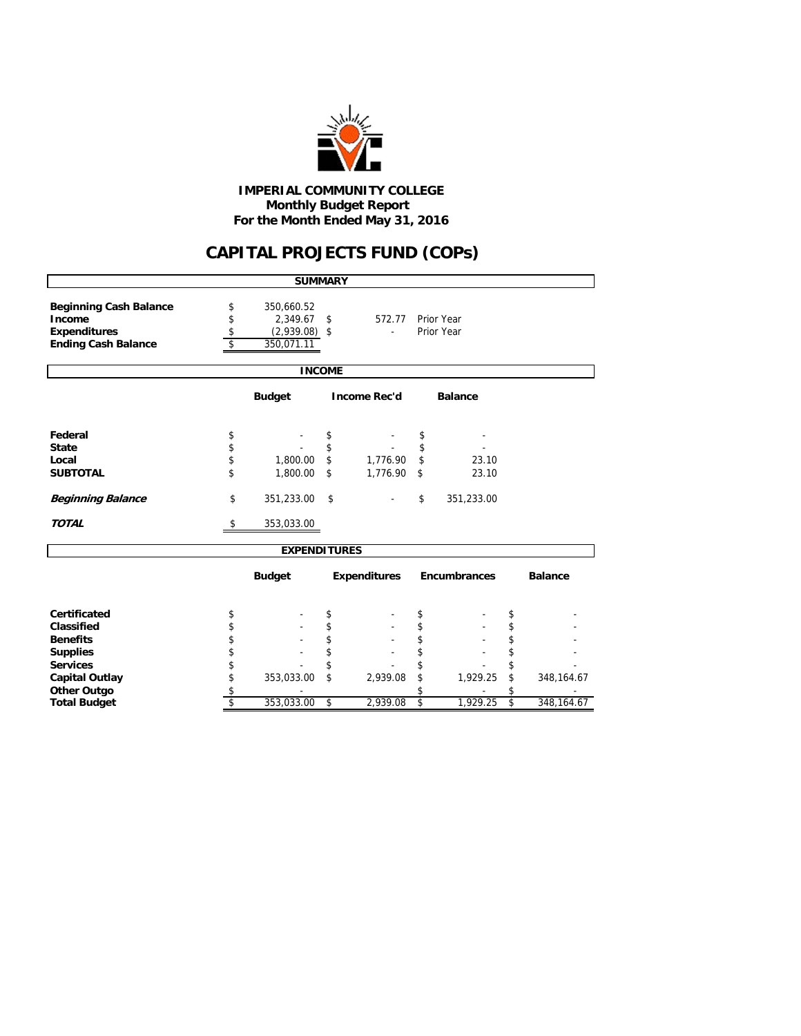

#### **Monthly Budget Report For the Month Ended May 31, 2016 IMPERIAL COMMUNITY COLLEGE**

# **CAPITAL PROJECTS FUND (COPs)**

| <b>SUMMARY</b>                |          |                     |          |                     |    |                     |    |                |  |  |  |
|-------------------------------|----------|---------------------|----------|---------------------|----|---------------------|----|----------------|--|--|--|
|                               |          |                     |          |                     |    |                     |    |                |  |  |  |
| <b>Beginning Cash Balance</b> | \$       | 350,660.52          |          |                     |    |                     |    |                |  |  |  |
| Income                        | \$       | 2,349.67            | \$       | 572.77              |    | Prior Year          |    |                |  |  |  |
| <b>Expenditures</b>           | \$       | $(2,939.08)$ \$     |          | $\sim$              |    | Prior Year          |    |                |  |  |  |
| <b>Ending Cash Balance</b>    | \$       | 350,071.11          |          |                     |    |                     |    |                |  |  |  |
|                               |          |                     |          |                     |    |                     |    |                |  |  |  |
|                               |          | <b>INCOME</b>       |          |                     |    |                     |    |                |  |  |  |
|                               |          |                     |          |                     |    |                     |    |                |  |  |  |
| Federal                       |          |                     |          |                     |    |                     |    |                |  |  |  |
| <b>State</b>                  | \$<br>\$ |                     | \$<br>\$ |                     | \$ |                     |    |                |  |  |  |
|                               |          |                     |          |                     | \$ |                     |    |                |  |  |  |
| Local                         | \$       | 1,800.00            | \$       | 1,776.90            | \$ | 23.10               |    |                |  |  |  |
| <b>SUBTOTAL</b>               | \$       | 1,800.00            | \$       | 1,776.90            | \$ | 23.10               |    |                |  |  |  |
| <b>Beginning Balance</b>      | \$       | 351,233.00          | \$       |                     | \$ | 351,233.00          |    |                |  |  |  |
| <b>TOTAL</b>                  | \$       | 353,033.00          |          |                     |    |                     |    |                |  |  |  |
|                               |          | <b>EXPENDITURES</b> |          |                     |    |                     |    |                |  |  |  |
|                               |          | <b>Budget</b>       |          | <b>Expenditures</b> |    | <b>Encumbrances</b> |    | <b>Balance</b> |  |  |  |
| <b>Certificated</b>           | \$       |                     | \$       |                     | \$ |                     | \$ |                |  |  |  |
| Classified                    | \$       |                     | \$       |                     | \$ |                     | \$ |                |  |  |  |
| <b>Benefits</b>               | \$       |                     | \$       |                     | \$ |                     | \$ |                |  |  |  |
| <b>Supplies</b>               | \$       |                     | \$       |                     | \$ |                     | \$ |                |  |  |  |
| <b>Services</b>               | \$       |                     | \$       |                     | \$ |                     | \$ |                |  |  |  |
| <b>Capital Outlay</b>         | \$       | 353,033.00          | \$       | 2,939.08            | \$ | 1,929.25            | \$ | 348, 164. 67   |  |  |  |
| <b>Other Outgo</b>            | \$       |                     |          |                     | \$ |                     | \$ |                |  |  |  |
| <b>Total Budget</b>           | \$       | 353,033.00          | \$       | 2,939.08            | \$ | 1,929.25            | \$ | 348, 164. 67   |  |  |  |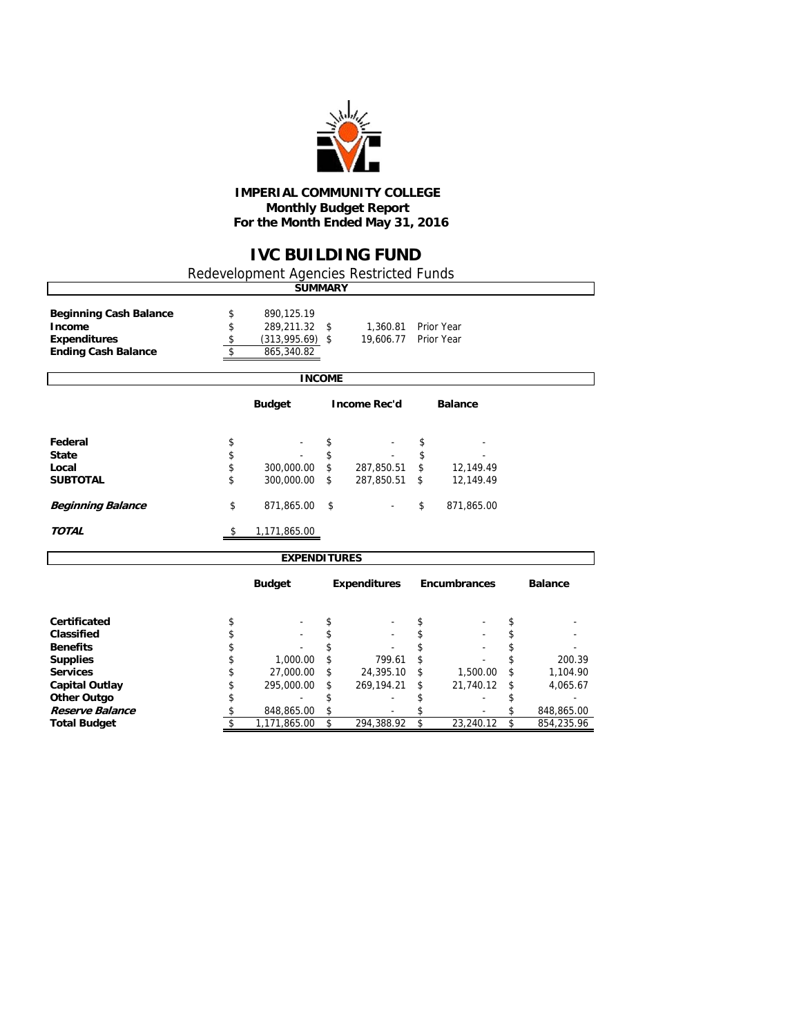

#### **IMPERIAL COMMUNITY COLLEGE Monthly Budget Report For the Month Ended May 31, 2016**

### **IVC BUILDING FUND**

Redevelopment Agencies Restricted Funds

|                               | <b>SUMMARY</b>          |               |                     |                     |                |
|-------------------------------|-------------------------|---------------|---------------------|---------------------|----------------|
| <b>Beginning Cash Balance</b> | \$<br>890,125.19        |               |                     |                     |                |
| Income                        | \$<br>289,211.32        | \$            | 1,360.81            | Prior Year          |                |
| <b>Expenditures</b>           | \$<br>$(313,995.69)$ \$ |               | 19,606.77           | Prior Year          |                |
| <b>Ending Cash Balance</b>    | \$<br>865,340.82        |               |                     |                     |                |
|                               |                         |               |                     |                     |                |
|                               |                         | <b>INCOME</b> |                     |                     |                |
|                               | <b>Budget</b>           |               | <b>Income Rec'd</b> | <b>Balance</b>      |                |
|                               |                         |               |                     |                     |                |
| Federal                       | \$                      | \$            |                     | \$                  |                |
| <b>State</b>                  | \$                      | \$            |                     | \$                  |                |
| Local                         | \$<br>300,000.00        | \$            | 287,850.51          | \$<br>12,149.49     |                |
| <b>SUBTOTAL</b>               | \$<br>300,000.00        | \$            | 287,850.51          | \$<br>12,149.49     |                |
| <b>Beginning Balance</b>      | \$<br>871,865.00        | \$            |                     | \$<br>871,865.00    |                |
| <b>TOTAL</b>                  | \$<br>1,171,865.00      |               |                     |                     |                |
|                               | <b>EXPENDITURES</b>     |               |                     |                     |                |
|                               | <b>Budget</b>           |               | <b>Expenditures</b> | <b>Encumbrances</b> | <b>Balance</b> |
| Certificated                  | \$                      | \$            |                     | \$                  | \$             |
| Classified                    | \$                      | \$            |                     | \$                  | \$             |
| <b>Benefits</b>               | \$                      | \$            |                     | \$                  | \$             |
| <b>Supplies</b>               | \$<br>1,000.00          | \$            | 799.61              | \$                  | \$<br>200.39   |
| <b>Services</b>               | \$<br>27,000.00         |               |                     | \$                  | \$             |
|                               |                         |               | 24,395.10           | 1,500.00            | 1,104.90       |
| <b>Capital Outlay</b>         | \$<br>295,000.00        | \$            | 269,194.21          | \$<br>21,740.12     | \$<br>4,065.67 |

**Other Outgo because the contract contract to the set of the set of the set of the set of the set of the set of the set of the set of the set of the set of the set of the set of the set of the set of the set of the set o Reserve Balance** \$ - 848,865.00 \$ - \$ 848,865.00 \$

**Total Budgett 1,171,865.00** \$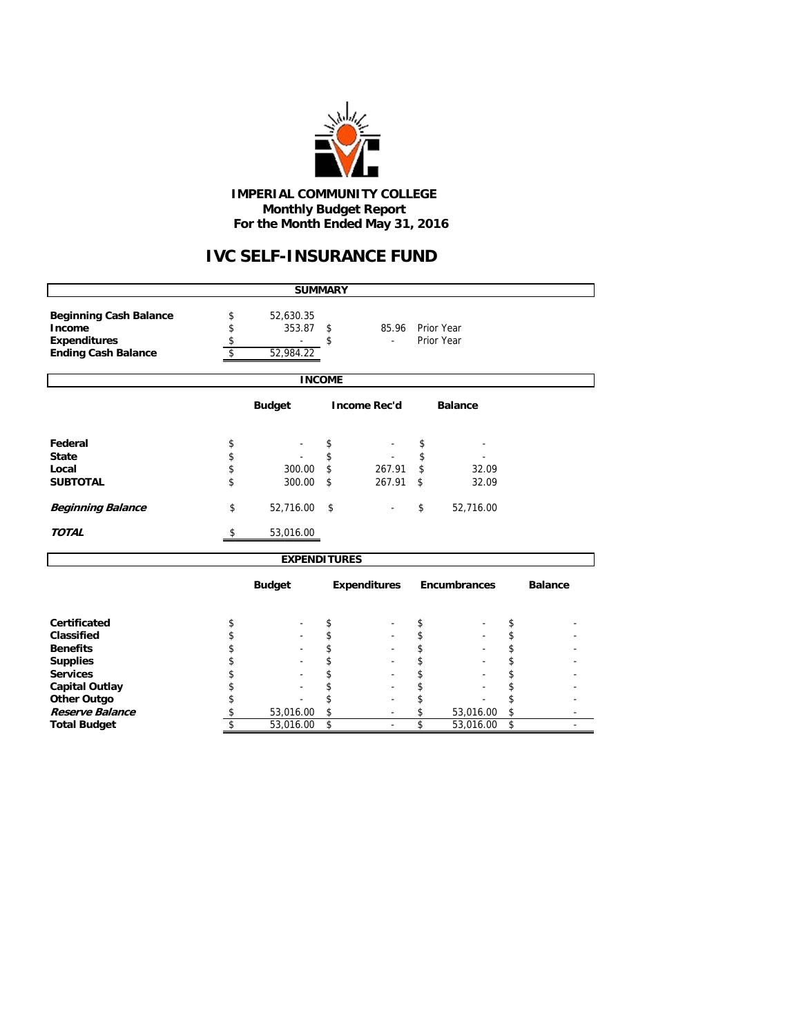

#### **IMPERIAL COMMUNITY COLLEGE Monthly Budget Report For the Month Ended May 31, 2016**

## **IVC SELF-INSURANCE FUND**

| <b>SUMMARY</b>                                         |    |                     |    |                     |    |                     |    |                |  |  |  |
|--------------------------------------------------------|----|---------------------|----|---------------------|----|---------------------|----|----------------|--|--|--|
| <b>Beginning Cash Balance</b>                          | \$ | 52,630.35           |    |                     |    |                     |    |                |  |  |  |
| Income                                                 | \$ | 353.87              | \$ | 85.96               |    | Prior Year          |    |                |  |  |  |
| <b>Expenditures</b>                                    | \$ |                     | \$ |                     |    | Prior Year          |    |                |  |  |  |
| <b>Ending Cash Balance</b>                             | \$ | 52,984.22           |    |                     |    |                     |    |                |  |  |  |
|                                                        |    |                     |    |                     |    |                     |    |                |  |  |  |
|                                                        |    | <b>INCOME</b>       |    |                     |    |                     |    |                |  |  |  |
| <b>Budget</b><br><b>Income Rec'd</b><br><b>Balance</b> |    |                     |    |                     |    |                     |    |                |  |  |  |
|                                                        |    |                     |    |                     |    |                     |    |                |  |  |  |
| Federal                                                | \$ |                     | \$ |                     | \$ |                     |    |                |  |  |  |
| <b>State</b>                                           | \$ |                     | \$ |                     | \$ |                     |    |                |  |  |  |
| Local                                                  | \$ | 300.00              | \$ | 267.91              | \$ | 32.09               |    |                |  |  |  |
| <b>SUBTOTAL</b>                                        | \$ | 300.00              | \$ | 267.91              | \$ | 32.09               |    |                |  |  |  |
| <b>Beginning Balance</b>                               | \$ | 52,716.00           | \$ |                     | \$ | 52,716.00           |    |                |  |  |  |
| <b>TOTAL</b>                                           | S  | 53,016.00           |    |                     |    |                     |    |                |  |  |  |
|                                                        |    | <b>EXPENDITURES</b> |    |                     |    |                     |    |                |  |  |  |
|                                                        |    | <b>Budget</b>       |    | <b>Expenditures</b> |    | <b>Encumbrances</b> |    | <b>Balance</b> |  |  |  |
| Certificated                                           | \$ |                     | \$ |                     | \$ |                     | \$ |                |  |  |  |
| Classified                                             | \$ |                     | \$ |                     | \$ |                     | \$ |                |  |  |  |
| <b>Benefits</b>                                        | \$ |                     | \$ |                     | \$ |                     | \$ |                |  |  |  |
| <b>Supplies</b>                                        | \$ |                     | \$ |                     | \$ |                     | \$ |                |  |  |  |
| <b>Services</b>                                        | \$ |                     | \$ |                     | \$ |                     | \$ |                |  |  |  |
| <b>Capital Outlay</b>                                  | \$ |                     | \$ |                     | \$ |                     | \$ |                |  |  |  |
| <b>Other Outgo</b>                                     | \$ |                     | \$ |                     | \$ |                     | \$ |                |  |  |  |
| Reserve Balance                                        | \$ | 53,016.00           | \$ |                     | \$ | 53,016.00           | \$ |                |  |  |  |
| <b>Total Budget</b>                                    | \$ | 53,016.00           | \$ |                     | \$ | 53,016.00           | \$ |                |  |  |  |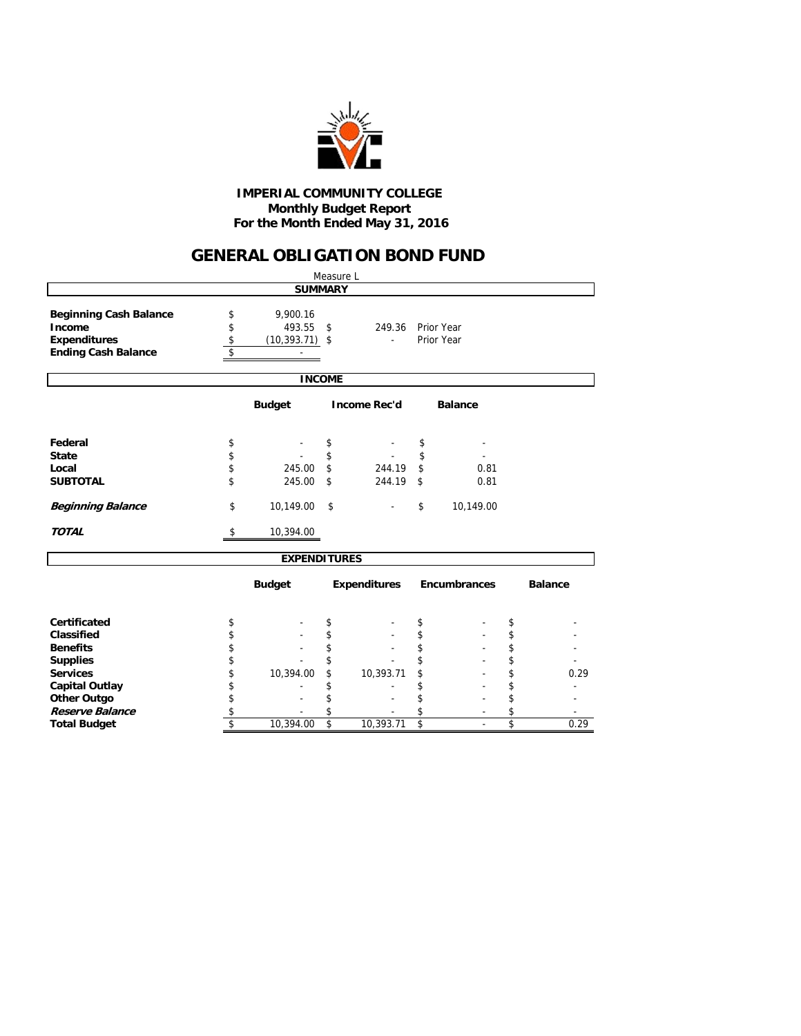

#### **Monthly Budget Report For the Month Ended May 31, 2016 IMPERIAL COMMUNITY COLLEGE**

## **GENERAL OBLIGATION BOND FUND**

|                                                                                              |                      |                                         | Measure L |                                    |    |                          |    |                |  |  |  |  |
|----------------------------------------------------------------------------------------------|----------------------|-----------------------------------------|-----------|------------------------------------|----|--------------------------|----|----------------|--|--|--|--|
|                                                                                              |                      | <b>SUMMARY</b>                          |           |                                    |    |                          |    |                |  |  |  |  |
| <b>Beginning Cash Balance</b><br>Income<br><b>Expenditures</b><br><b>Ending Cash Balance</b> | \$<br>\$<br>\$<br>\$ | 9,900.16<br>493.55<br>$(10, 393.71)$ \$ | \$        | 249.36<br>$\overline{\phantom{a}}$ |    | Prior Year<br>Prior Year |    |                |  |  |  |  |
|                                                                                              |                      | <b>INCOME</b>                           |           |                                    |    |                          |    |                |  |  |  |  |
| <b>Budget</b><br><b>Income Rec'd</b><br><b>Balance</b>                                       |                      |                                         |           |                                    |    |                          |    |                |  |  |  |  |
| Federal                                                                                      | \$                   |                                         | \$        |                                    | \$ |                          |    |                |  |  |  |  |
| <b>State</b>                                                                                 | \$                   |                                         | \$        |                                    | \$ |                          |    |                |  |  |  |  |
| Local                                                                                        | \$                   | 245.00                                  | \$        | 244.19                             | \$ | 0.81                     |    |                |  |  |  |  |
| <b>SUBTOTAL</b>                                                                              | \$                   | 245.00                                  | \$        | 244.19                             | \$ | 0.81                     |    |                |  |  |  |  |
| <b>Beginning Balance</b>                                                                     | \$                   | 10,149.00                               | \$        |                                    | \$ | 10,149.00                |    |                |  |  |  |  |
| <b>TOTAL</b>                                                                                 | \$                   | 10,394.00                               |           |                                    |    |                          |    |                |  |  |  |  |
|                                                                                              |                      | <b>EXPENDITURES</b>                     |           |                                    |    |                          |    |                |  |  |  |  |
|                                                                                              |                      | <b>Budget</b>                           |           | <b>Expenditures</b>                |    | Encumbrances             |    | <b>Balance</b> |  |  |  |  |
| <b>Certificated</b>                                                                          | \$                   |                                         | \$        |                                    | \$ |                          | \$ |                |  |  |  |  |
| Classified                                                                                   | \$                   |                                         | \$        |                                    | \$ |                          | \$ |                |  |  |  |  |
| <b>Benefits</b>                                                                              | \$                   |                                         | \$        |                                    | \$ |                          | \$ |                |  |  |  |  |
| <b>Supplies</b>                                                                              | \$                   |                                         |           |                                    | \$ |                          | \$ |                |  |  |  |  |
| <b>Services</b>                                                                              | \$                   | 10,394.00                               | \$        | 10,393.71                          | \$ |                          | \$ | 0.29           |  |  |  |  |
| <b>Capital Outlay</b>                                                                        | \$                   |                                         | \$        |                                    | \$ |                          | \$ |                |  |  |  |  |
| Other Outgo                                                                                  | \$                   |                                         | \$        |                                    | \$ |                          | \$ |                |  |  |  |  |
| <b>Reserve Balance</b>                                                                       | \$                   |                                         | \$        |                                    | \$ |                          | \$ |                |  |  |  |  |
| <b>Total Budget</b>                                                                          | \$                   | 10,394.00                               | \$        | 10,393.71                          | \$ |                          | \$ | 0.29           |  |  |  |  |